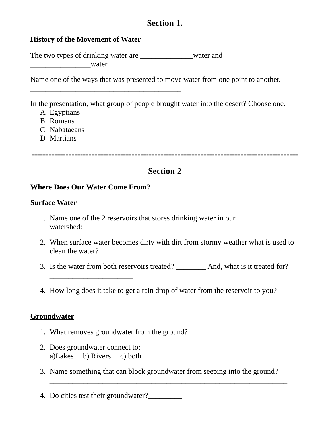# **Section 1.**

### **History of the Movement of Water**

The two types of drinking water are **the vector water and** \_\_\_\_\_\_\_\_\_\_\_\_\_\_\_\_water.

 $\overline{\phantom{a}}$  , where  $\overline{\phantom{a}}$  , where  $\overline{\phantom{a}}$  ,  $\overline{\phantom{a}}$  ,  $\overline{\phantom{a}}$  ,  $\overline{\phantom{a}}$  ,  $\overline{\phantom{a}}$  ,  $\overline{\phantom{a}}$  ,  $\overline{\phantom{a}}$  ,  $\overline{\phantom{a}}$  ,  $\overline{\phantom{a}}$  ,  $\overline{\phantom{a}}$  ,  $\overline{\phantom{a}}$  ,  $\overline{\phantom{a}}$  ,  $\overline{\phantom{a}}$  ,

Name one of the ways that was presented to move water from one point to another.

In the presentation, what group of people brought water into the desert? Choose one.

- A Egyptians
- B Romans
- C Nabataeans
- D Martians

**---------------------------------------------------------------------------------------------**

# **Section 2**

### **Where Does Our Water Come From?**

### **Surface Water**

- 1. Name one of the 2 reservoirs that stores drinking water in our watershed:\_\_\_\_\_\_\_\_\_\_\_\_\_\_\_\_\_\_
- 2. When surface water becomes dirty with dirt from stormy weather what is used to clean the water?\_\_\_\_\_\_\_\_\_\_\_\_\_\_\_\_\_\_\_\_\_\_\_\_\_\_\_\_\_\_\_\_\_\_\_\_\_\_\_\_\_\_\_\_\_\_\_
- 3. Is the water from both reservoirs treated? \_\_\_\_\_\_\_\_ And, what is it treated for?
- 4. How long does it take to get a rain drop of water from the reservoir to you?

### **Groundwater**

- 1. What removes groundwater from the ground?
- 2. Does groundwater connect to: a)Lakes b) Rivers c) both

 $\overline{\phantom{a}}$  , where  $\overline{\phantom{a}}$  , where  $\overline{\phantom{a}}$  , where  $\overline{\phantom{a}}$ 

 $\overline{\phantom{a}}$  , where  $\overline{\phantom{a}}$  , where  $\overline{\phantom{a}}$  , where  $\overline{\phantom{a}}$ 

3. Name something that can block groundwater from seeping into the ground?

 $\overline{\phantom{a}}$  , and the contract of the contract of the contract of the contract of the contract of the contract of the contract of the contract of the contract of the contract of the contract of the contract of the contrac

4. Do cities test their groundwater?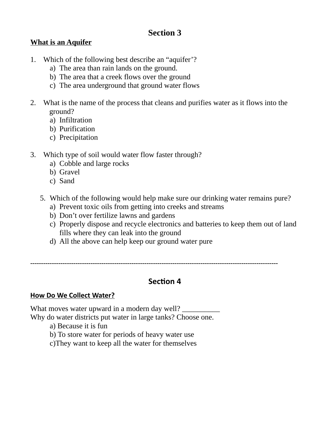# **Section 3**

## **What is an Aquifer**

- 1. Which of the following best describe an "aquifer'?
	- a) The area than rain lands on the ground.
	- b) The area that a creek flows over the ground
	- c) The area underground that ground water flows
- 2. What is the name of the process that cleans and purifies water as it flows into the ground?
	- a) Infiltration
	- b) Purification
	- c) Precipitation
- 3. Which type of soil would water flow faster through?
	- a) Cobble and large rocks
	- b) Gravel
	- c) Sand
	- 5. Which of the following would help make sure our drinking water remains pure?
		- a) Prevent toxic oils from getting into creeks and streams
		- b) Don't over fertilize lawns and gardens
		- c) Properly dispose and recycle electronics and batteries to keep them out of land fills where they can leak into the ground
		- d) All the above can help keep our ground water pure

-------------------------------------------------------------------------------------------------------------------

# **Section 4**

### **How Do We Collect Water?**

What moves water upward in a modern day well? Why do water districts put water in large tanks? Choose one.

- a) Because it is fun
- b) To store water for periods of heavy water use
- c)They want to keep all the water for themselves